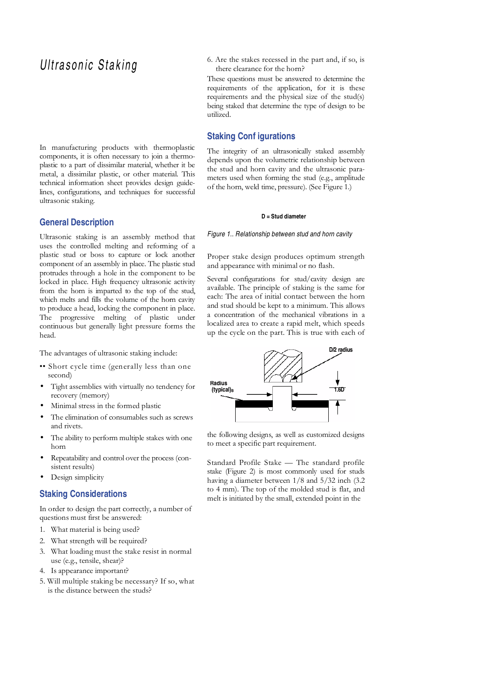# Ultrasonic Staking

In manufacturing products with thermoplastic components, it is often necessary to join a thermoplastic to a part of dissimilar material, whether it be metal, a dissimilar plastic, or other material. This technical information sheet provides design guidelines, configurations, and techniques for successful ultrasonic staking.

# **General Description**

Ultrasonic staking is an assembly method that uses the controlled melting and reforming of a plastic stud or boss to capture or lock another component of an assembly in place. The plastic stud protrudes through a hole in the component to be locked in place. High frequency ultrasonic activity from the horn is imparted to the top of the stud, which melts and fills the volume of the horn cavity to produce a head, locking the component in place. The progressive melting of plastic under continuous but generally light pressure forms the head.

The advantages of ultrasonic staking include:

- •• Short cycle time (generally less than one second)
- Tight assemblies with virtually no tendency for recovery (memory)
- Minimal stress in the formed plastic
- The elimination of consumables such as screws and rivets.
- The ability to perform multiple stakes with one horn
- Repeatability and control over the process (consistent results)
- Design simplicity

#### **Staking Considerations**

In order to design the part correctly, a number of questions must first be answered:

- 1. What material is being used?
- 2. What strength will be required?
- 3. What loading must the stake resist in normal use (e.g., tensile, shear)?
- 4. Is appearance important?
- 5. Will multiple staking be necessary? If so, what is the distance between the studs?

6. Are the stakes recessed in the part and, if so, is there clearance for the horn?

These questions must be answered to determine the requirements of the application, for it is these requirements and the physical size of the stud(s) being staked that determine the type of design to be utilized.

## **Staking Conf igurations**

The integrity of an ultrasonically staked assembly depends upon the volumetric relationship between the stud and horn cavity and the ultrasonic parameters used when forming the stud (e.g., amplitude of the horn, weld time, pressure). (See Figure 1.)

#### **D = Stud diameter**

#### Figure 1.. Relationship between stud and horn cavity

Proper stake design produces optimum strength and appearance with minimal or no flash.

Several configurations for stud/cavity design are available. The principle of staking is the same for each: The area of initial contact between the horn and stud should be kept to a minimum. This allows a concentration of the mechanical vibrations in a localized area to create a rapid melt, which speeds up the cycle on the part. This is true with each of



the following designs, as well as customized designs to meet a specific part requirement.

Standard Profile Stake — The standard profile stake (Figure 2) is most commonly used for studs having a diameter between  $1/8$  and  $5/32$  inch (3.2) to 4 mm). The top of the molded stud is flat, and melt is initiated by the small, extended point in the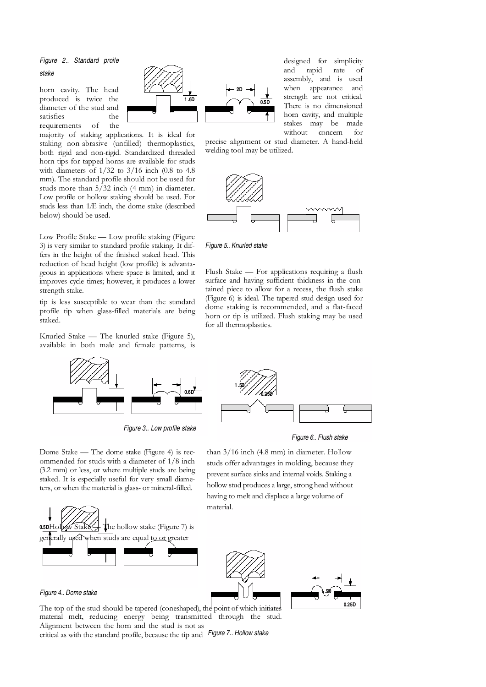## Figure 2.. Standard proile stake

horn cavity. The head produced is twice the diameter of the stud and satisfies the requirements of the

majority of staking applications. It is ideal for staking non-abrasive (unfilled) thermoplastics, both rigid and non-rigid. Standardized threaded horn tips for tapped horns are available for studs with diameters of 1/32 to 3/16 inch (0.8 to 4.8 mm). The standard profile should not be used for studs more than  $5/32$  inch (4 mm) in diameter. Low profile or hollow staking should be used. For studs less than 1Æ inch, the dome stake (described below) should be used.

Low Profile Stake — Low profile staking (Figure 3) is very similar to standard profile staking. It differs in the height of the finished staked head. This reduction of head height (low profile) is advantageous in applications where space is limited, and it improves cycle times; however, it produces a lower strength stake.

tip is less susceptible to wear than the standard profile tip when glass-filled materials are being staked.

Knurled Stake — The knurled stake (Figure 5), available in both male and female patterns, is



Figure 3.. Low profile stake

**1 .6D 2D 0.5D**  designed for simplicity and rapid rate of assembly, and is used when appearance and strength are not critical. There is no dimensioned horn cavity, and multiple stakes may be made without concern for

precise alignment or stud diameter. A hand-held welding tool may be utilized.



Figure 5.. Knurled stake

Flush Stake — For applications requiring a flush surface and having sufficient thickness in the contained piece to allow for a recess, the flush stake (Figure 6) is ideal. The tapered stud design used for dome staking is recommended, and a flat-faced horn or tip is utilized. Flush staking may be used for all thermoplastics.



Figure 6.. Flush stake

Dome Stake — The dome stake (Figure 4) is recommended for studs with a diameter of 1/8 inch (3.2 mm) or less, or where multiple studs are being staked. It is especially useful for very small diameters, or when the material is glass- or mineral-filled.



#### Figure 4.. Dome stake

The top of the stud should be tapered (coneshaped), the point of which initiates material melt, reducing energy being transmitted through the stud. Alignment between the horn and the stud is not as critical as with the standard profile, because the tip and Figure 7.. Hollow stake

than 3/16 inch (4.8 mm) in diameter. Hollow studs offer advantages in molding, because they prevent surface sinks and internal voids. Staking a hollow stud produces a large, strong head without

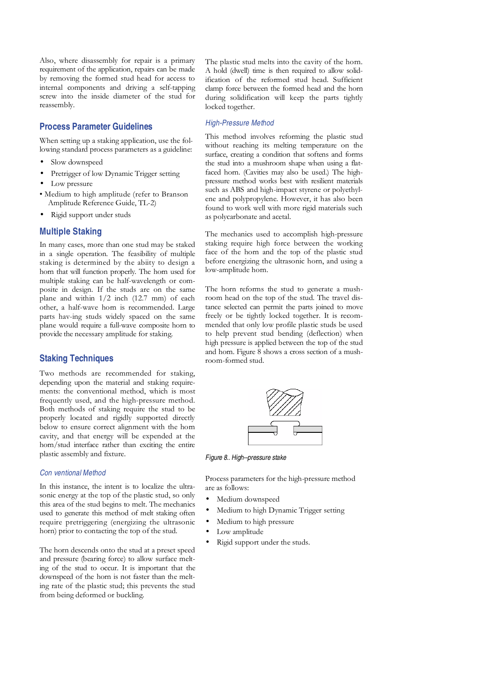Also, where disassembly for repair is a primary requirement of the application, repairs can be made by removing the formed stud head for access to internal components and driving a self-tapping screw into the inside diameter of the stud for reassembly.

## **Process Parameter Guidelines**

When setting up a staking application, use the following standard process parameters as a guideline:

- Slow downspeed
- Pretrigger of low Dynamic Trigger setting
- Low pressure
- Medium to high amplitude (refer to Branson Amplitude Reference Guide, TL-2)
- Rigid support under studs

# **Multiple Staking**

In many cases, more than one stud may be staked in a single operation. The feasibility of multiple staking is determined by the abiity to design a horn that will function properly. The horn used for multiple staking can be half-wavelength or composite in design. If the studs are on the same plane and within 1/2 inch (12.7 mm) of each other, a half-wave horn is recommended. Large parts hav-ing studs widely spaced on the same plane would require a full-wave composite horn to provide the necessary amplitude for staking.

# **Staking Techniques**

Two methods are recommended for staking, depending upon the material and staking requirements: the conventional method, which is most frequently used, and the high-pressure method. Both methods of staking require the stud to be properly located and rigidly supported directly below to ensure correct alignment with the horn cavity, and that energy will be expended at the horn/stud interface rather than exciting the entire plastic assembly and fixture.

#### Con ventional Method

In this instance, the intent is to localize the ultrasonic energy at the top of the plastic stud, so only this area of the stud begins to melt. The mechanics used to generate this method of melt staking often require pretriggering (energizing the ultrasonic horn) prior to contacting the top of the stud.

The horn descends onto the stud at a preset speed and pressure (bearing force) to allow surface melting of the stud to occur. It is important that the downspeed of the horn is not faster than the melting rate of the plastic stud; this prevents the stud from being deformed or buckling.

The plastic stud melts into the cavity of the horn. A hold (dwell) time is then required to allow solidification of the reformed stud head. Sufficient clamp force between the formed head and the horn during solidification will keep the parts tightly locked together.

#### High-Pressure Method

This method involves reforming the plastic stud without reaching its melting temperature on the surface, creating a condition that softens and forms the stud into a mushroom shape when using a flatfaced horn. (Cavities may also be used.) The highpressure method works best with resilient materials such as ABS and high-impact styrene or polyethylene and polypropylene. However, it has also been found to work well with more rigid materials such as polycarbonate and acetal.

The mechanics used to accomplish high-pressure staking require high force between the working face of the horn and the top of the plastic stud before energizing the ultrasonic horn, and using a low-amplitude horn.

The horn reforms the stud to generate a mushroom head on the top of the stud. The travel distance selected can permit the parts joined to move freely or be tightly locked together. It is recommended that only low profile plastic studs be used to help prevent stud bending (deflection) when high pressure is applied between the top of the stud and horn. Figure 8 shows a cross section of a mushroom-formed stud.



Figure 8.. High--pressure stake

Process parameters for the high-pressure method are as follows:

- Medium downspeed
- Medium to high Dynamic Trigger setting
- Medium to high pressure
- Low amplitude
- Rigid support under the studs.